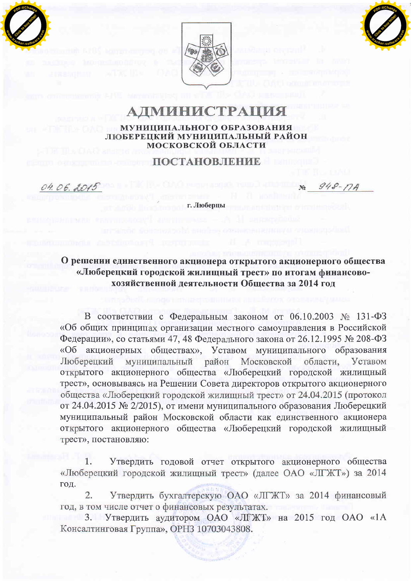



## **АДМИНИСТРАЦИЯ** МУНИЦИПАЛЬНОГО ОБРАЗОВАНИЯ ЛЮБЕРЕЦКИЙ МУНИЦИПАЛЬНЫЙ РАЙОН **МОСКОВСКОЙ ОБЛАСТИ**

## **ПОСТАНОВЛЕНИЕ**

 $948 - 74$  $N_0$ 

г. Люберцы

04.06.2015

О решении единственного акционера открытого акционерного общества «Люберецкий городской жилищный трест» по итогам финансовохозяйственной деятельности Общества за 2014 год

В соответствии с Федеральным законом от 06.10.2003 № 131-ФЗ «Об общих принципах организации местного самоуправления в Российской Федерации», со статьями 47, 48 Федерального закона от 26.12.1995 № 208-ФЗ «Об акционерных обществах», Уставом муниципального образования Люберецкий муниципальный район Московской области. Уставом открытого акционерного общества «Люберецкий городской жилищный трест», основываясь на Решении Совета директоров открытого акционерного общества «Люберецкий городской жилищный трест» от 24.04.2015 (протокол от 24.04.2015 № 2/2015), от имени муниципального образования Люберецкий муниципальный район Московской области как единственного акционера открытого акционерного общества «Люберецкий городской жилищный трест», постановляю:

Утвердить годовой отчет открытого акционерного общества 1. «Люберецкий городской жилищный трест» (далее ОАО «ЛГЖТ») за 2014 год.

Утвердить бухгалтерскую ОАО «ЛГЖТ» за 2014 финансовый 2. год, в том числе отчет о финансовых результатах.

3. Утвердить аудитором ОАО «ЛГЖТ» на 2015 год ОАО «1А Консалтинговая Группа», ОРНЗ 10703043808.